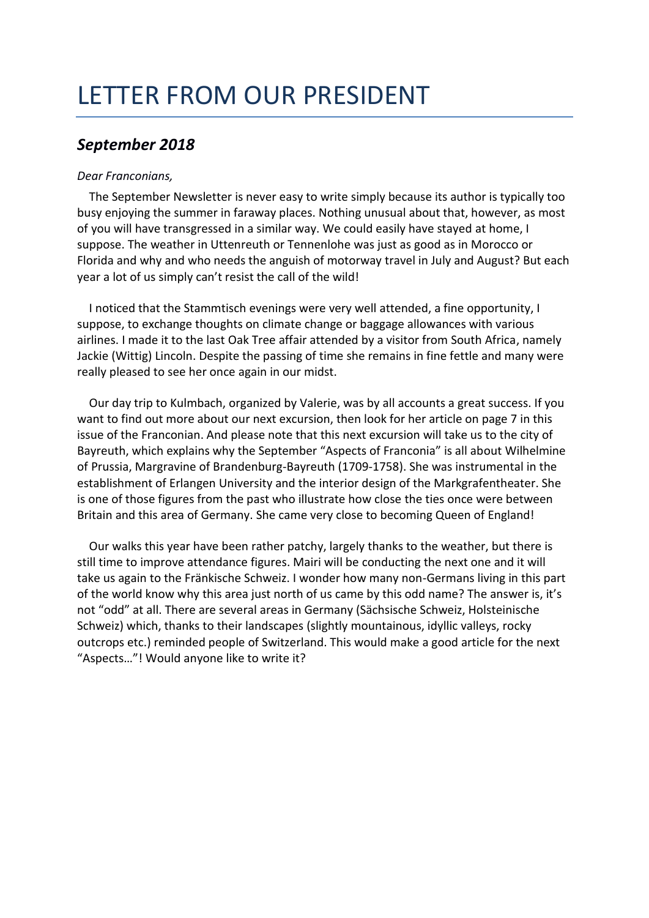# LETTER FROM OUR PRESIDENT

# *September 2018*

## *Dear Franconians,*

The September Newsletter is never easy to write simply because its author is typically too busy enjoying the summer in faraway places. Nothing unusual about that, however, as most of you will have transgressed in a similar way. We could easily have stayed at home, I suppose. The weather in Uttenreuth or Tennenlohe was just as good as in Morocco or Florida and why and who needs the anguish of motorway travel in July and August? But each year a lot of us simply can't resist the call of the wild!

I noticed that the Stammtisch evenings were very well attended, a fine opportunity, I suppose, to exchange thoughts on climate change or baggage allowances with various airlines. I made it to the last Oak Tree affair attended by a visitor from South Africa, namely Jackie (Wittig) Lincoln. Despite the passing of time she remains in fine fettle and many were really pleased to see her once again in our midst.

Our day trip to Kulmbach, organized by Valerie, was by all accounts a great success. If you want to find out more about our next excursion, then look for her article on page 7 in this issue of the Franconian. And please note that this next excursion will take us to the city of Bayreuth, which explains why the September "Aspects of Franconia" is all about Wilhelmine of Prussia, Margravine of Brandenburg-Bayreuth (1709-1758). She was instrumental in the establishment of Erlangen University and the interior design of the Markgrafentheater. She is one of those figures from the past who illustrate how close the ties once were between Britain and this area of Germany. She came very close to becoming Queen of England!

Our walks this year have been rather patchy, largely thanks to the weather, but there is still time to improve attendance figures. Mairi will be conducting the next one and it will take us again to the Fränkische Schweiz. I wonder how many non-Germans living in this part of the world know why this area just north of us came by this odd name? The answer is, it's not "odd" at all. There are several areas in Germany (Sächsische Schweiz, Holsteinische Schweiz) which, thanks to their landscapes (slightly mountainous, idyllic valleys, rocky outcrops etc.) reminded people of Switzerland. This would make a good article for the next "Aspects…"! Would anyone like to write it?